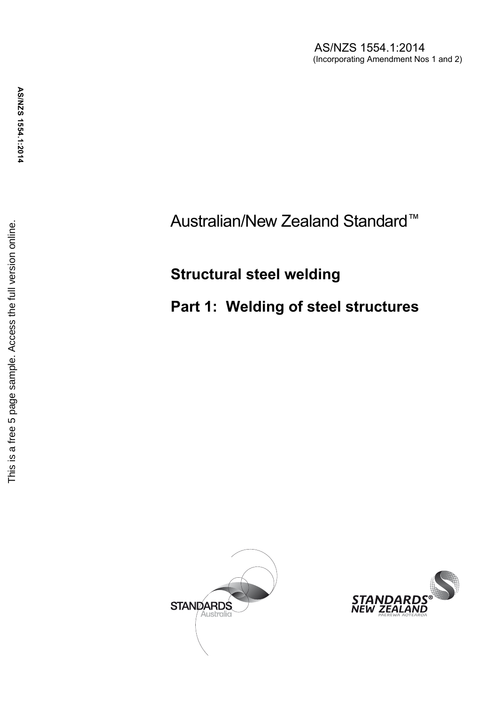AS/NZS 1554.1:2014 (Incorporating Amendment Nos 1 and 2)

## Australian/New Zealand Standard ™

# **Structural steel welding**

## **Part 1: Welding of steel structures**



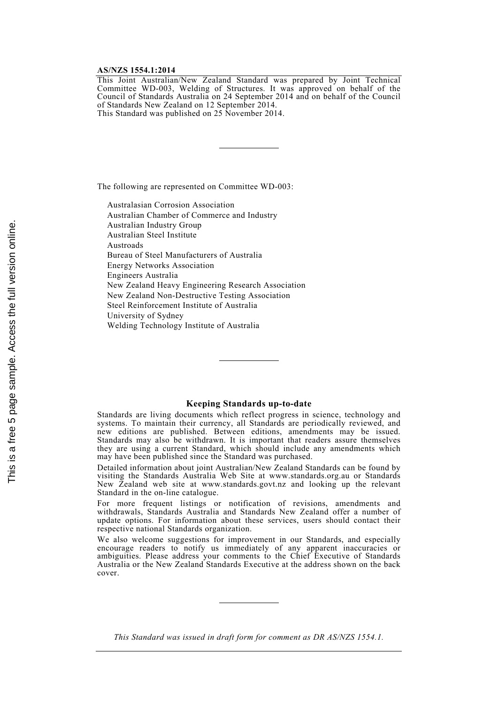#### **AS/NZS 1554.1:2014**

This Joint Australian/New Zealand Standard was prepared by Joint Technical Committee WD-003, Welding of Structures. It was approved on behalf of the Council of Standards Australia on 24 September 2014 and on behalf of the Council of Standards New Zealand on 12 September 2014. This Standard was published on 25 November 2014.

The following are represented on Committee WD-003:

Australasian Corrosion Association Australian Chamber of Commerce and Industry Australian Industry Group Australian Steel Institute Austroads Bureau of Steel Manufacturers of Australia Energy Networks Association Engineers Australia New Zealand Heavy Engineering Research Association New Zealand Non-Destructive Testing Association Steel Reinforcement Institute of Australia University of Sydney Welding Technology Institute of Australia

### **Keeping Standards up-to-date**

Standards are living documents which reflect progress in science, technology and systems. To maintain their currency, all Standards are periodically reviewed, and new editions are published. Between editions, amendments may be issued. Standards may also be withdrawn. It is important that readers assure themselves they are using a current Standard, which should include any amendments which may have been published since the Standard was purchased.

Detailed information about joint Australian/New Zealand Standards can be found by visiting the Standards Australia Web Site at www.standards.org.au or Standards New Zealand web site at www.standards.govt.nz and looking up the relevant Standard in the on-line catalogue.

For more frequent listings or notification of revisions, amendments and withdrawals, Standards Australia and Standards New Zealand offer a number of update options. For information about these services, users should contact their respective national Standards organization.

We also welcome suggestions for improvement in our Standards, and especially encourage readers to notify us immediately of any apparent inaccuracies or ambiguities. Please address your comments to the Chief Executive of Standards Australia or the New Zealand Standards Executive at the address shown on the back cover.

*This Standard was issued in draft form for comment as DR AS/NZS 1554.1.*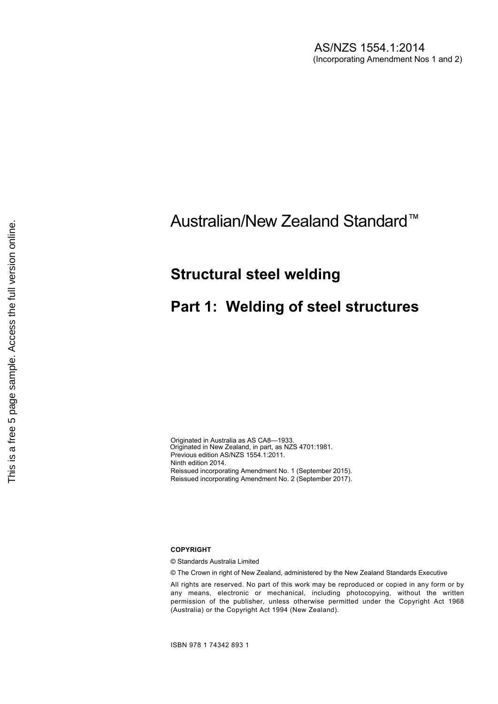## Australian/New Zealand Standard™

### **Structural steel welding**

## **Part 1: Welding of steel structures**

Originated in Australia as AS CA8—1933. Originated in New Zealand, in part, as NZS 4701:1981. Previous edition AS/NZS 1554.1:2011. Ninth edition 2014. Reissued incorporating Amendment No. 1 (September 2015). Reissued incorporating Amendment No. 2 (September 2017).

### **COPYRIGHT**

© Standards Australia Limited

© The Crown in right of New Zealand, administered by the New Zealand Standards Executive

All rights are reserved. No part of this work may be reproduced or copied in any form or by any means, electronic or mechanical, including photocopying, without the written permission of the publisher, unless otherwise permitted under the Copyright Act 1968 (Australia) or the Copyright Act 1994 (New Zealand).

ISBN 978 1 74342 893 1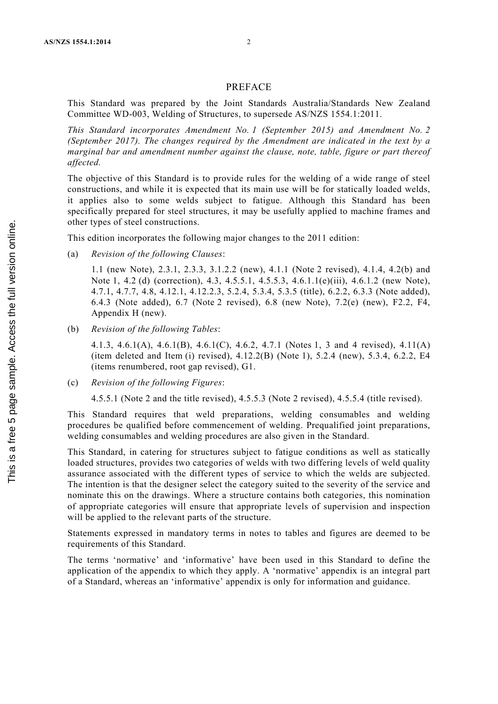### PREFACE

This Standard was prepared by the Joint Standards Australia/Standards New Zealand Committee WD-003, Welding of Structures, to supersede AS/NZS 1554.1:2011.

*This Standard incorporates Amendment No. 1 (September 2015) and Amendment No. 2 (September 2017). The changes required by the Amendment are indicated in the text by a marginal bar and amendment number against the clause, note, table, figure or part thereof affected.*

The objective of this Standard is to provide rules for the welding of a wide range of steel constructions, and while it is expected that its main use will be for statically loaded welds, it applies also to some welds subject to fatigue. Although this Standard has been specifically prepared for steel structures, it may be usefully applied to machine frames and other types of steel constructions.

This edition incorporates the following major changes to the 2011 edition:

(a) *Revision of the following Clauses*:

1.1 (new Note), 2.3.1, 2.3.3, 3.1.2.2 (new), 4.1.1 (Note 2 revised), 4.1.4, 4.2(b) and Note 1, 4.2 (d) (correction), 4.3, 4.5.5.1, 4.5.5.3, 4.6.1.1(e)(iii), 4.6.1.2 (new Note), 4.7.1, 4.7.7, 4.8, 4.12.1, 4.12.2.3, 5.2.4, 5.3.4, 5.3.5 (title), 6.2.2, 6.3.3 (Note added), 6.4.3 (Note added), 6.7 (Note 2 revised), 6.8 (new Note), 7.2(e) (new), F2.2, F4, Appendix H (new).

(b) *Revision of the following Tables*:

4.1.3, 4.6.1(A), 4.6.1(B), 4.6.1(C), 4.6.2, 4.7.1 (Notes 1, 3 and 4 revised), 4.11(A) (item deleted and Item (i) revised), 4.12.2(B) (Note 1), 5.2.4 (new), 5.3.4, 6.2.2, E4 (items renumbered, root gap revised), G1.

- (c) *Revision of the following Figures*:
	- 4.5.5.1 (Note 2 and the title revised), 4.5.5.3 (Note 2 revised), 4.5.5.4 (title revised).

This Standard requires that weld preparations, welding consumables and welding procedures be qualified before commencement of welding. Prequalified joint preparations, welding consumables and welding procedures are also given in the Standard.

This Standard, in catering for structures subject to fatigue conditions as well as statically loaded structures, provides two categories of welds with two differing levels of weld quality assurance associated with the different types of service to which the welds are subjected. The intention is that the designer select the category suited to the severity of the service and nominate this on the drawings. Where a structure contains both categories, this nomination of appropriate categories will ensure that appropriate levels of supervision and inspection will be applied to the relevant parts of the structure.

Statements expressed in mandatory terms in notes to tables and figures are deemed to be requirements of this Standard.

The terms 'normative' and 'informative' have been used in this Standard to define the application of the appendix to which they apply. A 'normative' appendix is an integral part of a Standard, whereas an 'informative' appendix is only for information and guidance.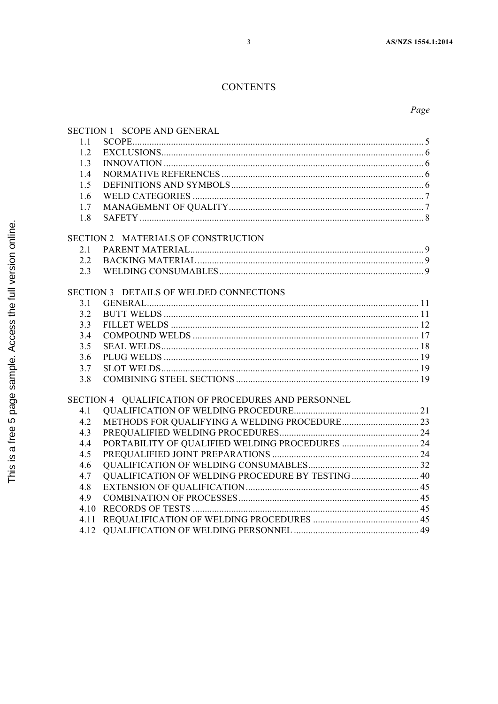### **CONTENTS**

Page

| SECTION 1 SCOPE AND GENERAL                         |                                                   |  |
|-----------------------------------------------------|---------------------------------------------------|--|
| 1.1                                                 |                                                   |  |
| 1.2                                                 |                                                   |  |
| 1.3                                                 |                                                   |  |
| 1.4                                                 |                                                   |  |
| 1.5                                                 |                                                   |  |
| 1.6                                                 |                                                   |  |
| 1.7                                                 |                                                   |  |
| 1.8                                                 |                                                   |  |
| SECTION 2 MATERIALS OF CONSTRUCTION                 |                                                   |  |
| 2.1                                                 |                                                   |  |
| 2.2                                                 |                                                   |  |
| 2.3                                                 |                                                   |  |
|                                                     |                                                   |  |
| SECTION 3 DETAILS OF WELDED CONNECTIONS             |                                                   |  |
| 3.1                                                 |                                                   |  |
| 3.2                                                 |                                                   |  |
| 3.3                                                 |                                                   |  |
| 3.4                                                 |                                                   |  |
| 3.5                                                 |                                                   |  |
| 3.6                                                 |                                                   |  |
| 3.7                                                 |                                                   |  |
| 3.8                                                 |                                                   |  |
| SECTION 4 QUALIFICATION OF PROCEDURES AND PERSONNEL |                                                   |  |
| 4.1                                                 |                                                   |  |
| 4.2                                                 |                                                   |  |
| 4.3                                                 |                                                   |  |
| 4.4                                                 |                                                   |  |
| 4.5                                                 |                                                   |  |
| 4.6                                                 |                                                   |  |
| 4.7                                                 | QUALIFICATION OF WELDING PROCEDURE BY TESTING  40 |  |
| 4.8                                                 |                                                   |  |
| 4.9                                                 |                                                   |  |
| 4.10                                                |                                                   |  |
| 4.11                                                |                                                   |  |
| 4.12                                                |                                                   |  |